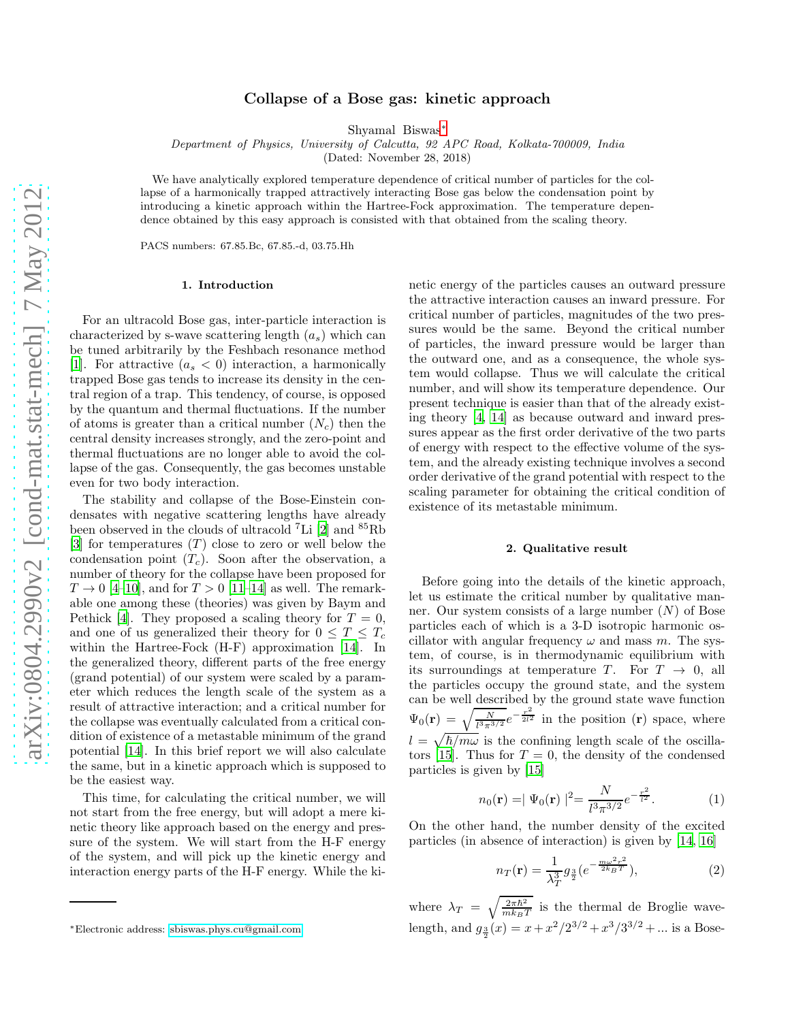# Collapse of a Bose gas: kinetic approach

Shyamal Biswas[∗](#page-0-0)

Department of Physics, University of Calcutta, 92 APC Road, Kolkata-700009, India

(Dated: November 28, 2018)

We have analytically explored temperature dependence of critical number of particles for the collapse of a harmonically trapped attractively interacting Bose gas below the condensation point by introducing a kinetic approach within the Hartree-Fock approximation. The temperature dependence obtained by this easy approach is consisted with that obtained from the scaling theory.

PACS numbers: 67.85.Bc, 67.85.-d, 03.75.Hh

#### 1. Introduction

For an ultracold Bose gas, inter-particle interaction is characterized by s-wave scattering length  $(a_s)$  which can be tuned arbitrarily by the Feshbach resonance method [\[1\]](#page-3-0). For attractive  $(a_{s} < 0)$  interaction, a harmonically trapped Bose gas tends to increase its density in the central region of a trap. This tendency, of course, is opposed by the quantum and thermal fluctuations. If the number of atoms is greater than a critical number  $(N_c)$  then the central density increases strongly, and the zero-point and thermal fluctuations are no longer able to avoid the collapse of the gas. Consequently, the gas becomes unstable even for two body interaction.

The stability and collapse of the Bose-Einstein condensates with negative scattering lengths have already been observed in the clouds of ultracold <sup>7</sup>Li [\[2\]](#page-3-1) and <sup>85</sup>Rb [\[3\]](#page-3-2) for temperatures  $(T)$  close to zero or well below the condensation point  $(T_c)$ . Soon after the observation, a number of theory for the collapse have been proposed for  $T \rightarrow 0$  [\[4](#page-3-3)[–10](#page-3-4)], and for  $T > 0$  [\[11–](#page-3-5)[14\]](#page-3-6) as well. The remarkable one among these (theories) was given by Baym and Pethick [\[4](#page-3-3)]. They proposed a scaling theory for  $T = 0$ , and one of us generalized their theory for  $0 \leq T \leq T_c$ within the Hartree-Fock (H-F) approximation [\[14](#page-3-6)]. In the generalized theory, different parts of the free energy (grand potential) of our system were scaled by a parameter which reduces the length scale of the system as a result of attractive interaction; and a critical number for the collapse was eventually calculated from a critical condition of existence of a metastable minimum of the grand potential [\[14](#page-3-6)]. In this brief report we will also calculate the same, but in a kinetic approach which is supposed to be the easiest way.

This time, for calculating the critical number, we will not start from the free energy, but will adopt a mere kinetic theory like approach based on the energy and pressure of the system. We will start from the H-F energy of the system, and will pick up the kinetic energy and interaction energy parts of the H-F energy. While the ki-

netic energy of the particles causes an outward pressure the attractive interaction causes an inward pressure. For critical number of particles, magnitudes of the two pressures would be the same. Beyond the critical number of particles, the inward pressure would be larger than the outward one, and as a consequence, the whole system would collapse. Thus we will calculate the critical number, and will show its temperature dependence. Our present technique is easier than that of the already existing theory [\[4](#page-3-3), [14\]](#page-3-6) as because outward and inward pressures appear as the first order derivative of the two parts of energy with respect to the effective volume of the system, and the already existing technique involves a second order derivative of the grand potential with respect to the scaling parameter for obtaining the critical condition of existence of its metastable minimum.

#### 2. Qualitative result

Before going into the details of the kinetic approach, let us estimate the critical number by qualitative manner. Our system consists of a large number  $(N)$  of Bose particles each of which is a 3-D isotropic harmonic oscillator with angular frequency  $\omega$  and mass m. The system, of course, is in thermodynamic equilibrium with its surroundings at temperature T. For  $T \rightarrow 0$ , all the particles occupy the ground state, and the system can be well described by the ground state wave function  $\Psi_0(\mathbf{r}) = \sqrt{\frac{N}{l^3 \pi^{3/2}}} e^{-\frac{r^2}{2l^2}}$  in the position  $(\mathbf{r})$  space, where  $l = \sqrt{\hbar/m\omega}$  is the confining length scale of the oscilla-tors [\[15](#page-3-7)]. Thus for  $T = 0$ , the density of the condensed particles is given by [\[15\]](#page-3-7)

$$
n_0(\mathbf{r}) = |\Psi_0(\mathbf{r})|^2 = \frac{N}{l^3 \pi^{3/2}} e^{-\frac{r^2}{l^2}}.
$$
 (1)

On the other hand, the number density of the excited particles (in absence of interaction) is given by [\[14,](#page-3-6) [16\]](#page-3-8)

$$
n_T(\mathbf{r}) = \frac{1}{\lambda_T^3} g_{\frac{3}{2}} (e^{-\frac{m\omega^2 r^2}{2k_B T}}),
$$
\n(2)

where  $\lambda_T = \sqrt{\frac{2\pi\hbar^2}{mk_BT}}$  is the thermal de Broglie wavelength, and  $g_{\frac{3}{2}}(x) = x + x^2/2^{3/2} + x^3/3^{3/2} + \dots$  is a Bose-

<span id="page-0-0"></span><sup>∗</sup>Electronic address: [sbiswas.phys.cu@gmail.com](mailto:sbiswas.phys.cu@gmail.com)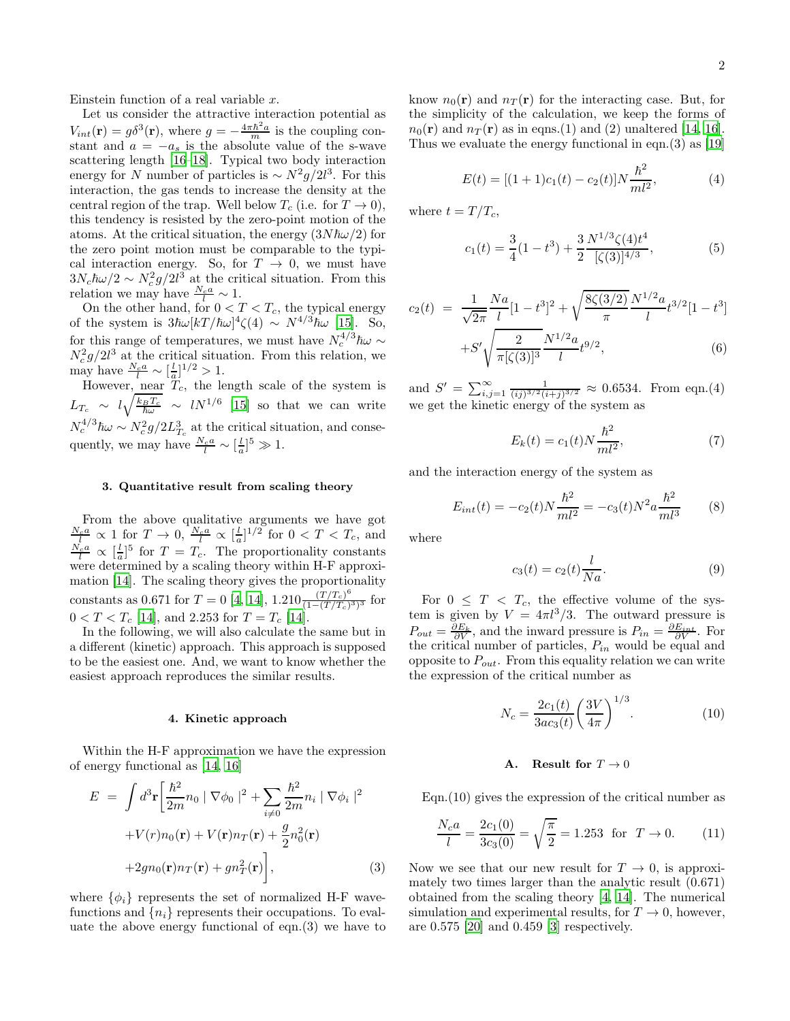Einstein function of a real variable  $x$ .

Let us consider the attractive interaction potential as  $V_{int}(\mathbf{r}) = g\delta^3(\mathbf{r})$ , where  $g = -\frac{4\pi\hbar^2 a}{m}$  is the coupling constant and  $a = -a_s$  is the absolute value of the s-wave scattering length [\[16](#page-3-8)[–18](#page-3-9)]. Typical two body interaction energy for N number of particles is  $\sim N^2 g/2l^3$ . For this interaction, the gas tends to increase the density at the central region of the trap. Well below  $T_c$  (i.e. for  $T \to 0$ ), this tendency is resisted by the zero-point motion of the atoms. At the critical situation, the energy  $(3N\hbar\omega/2)$  for the zero point motion must be comparable to the typical interaction energy. So, for  $T \to 0$ , we must have  $3N_c\hbar\omega/2 \sim N_c^2g/2l^3$  at the critical situation. From this relation we may have  $\frac{N_c a}{l} \sim 1$ .

On the other hand, for  $0 < T < T_c$ , the typical energy of the system is  $3\hbar\omega[kT/\hbar\omega]^4\zeta(4) \sim N^{4/3}\hbar\omega$  [\[15](#page-3-7)]. So, for this range of temperatures, we must have  $N_c^{4/3}\hbar\omega \sim$  $N_c^2 g/2l^3$  at the critical situation. From this relation, we may have  $\frac{N_c a}{l} \sim \left[\frac{l}{a}\right]^{1/2} > 1$ .

However, near  $\tilde{T}_c$ , the length scale of the system is  $L_{T_c} \sim l \sqrt{\frac{k_B T_c}{\hbar \omega}} \sim l N^{1/6}$  [\[15](#page-3-7)] so that we can write  $N_c^{4/3}\hbar\omega \sim N_c^2 g/2L_{T_c}^3$  at the critical situation, and consequently, we may have  $\frac{N_c a}{l} \sim \left[\frac{l}{a}\right]^5 \gg 1$ .

# 3. Quantitative result from scaling theory

From the above qualitative arguments we have got  $\frac{N_c a}{l} \propto 1$  for  $T \to 0$ ,  $\frac{N_c a}{l} \propto [\frac{l}{a}]^{1/2}$  for  $0 < T < T_c$ , and  $\frac{N_c a}{l} \propto \left[\frac{l}{a}\right]^5$  for  $T = T_c$ . The proportionality constants were determined by a scaling theory within H-F approximation [\[14\]](#page-3-6). The scaling theory gives the proportionality constants as 0.671 for  $T = 0$  [\[4](#page-3-3), [14](#page-3-6)], 1.210 $\frac{(T/T_c)^6}{(1-(T/T_c))}$  $\frac{(1/L_c)}{(1-(T/T_c)^3)^3}$  for  $0 < T < T_c$  [\[14\]](#page-3-6), and 2.253 for  $T = T_c$  [14].

In the following, we will also calculate the same but in a different (kinetic) approach. This approach is supposed to be the easiest one. And, we want to know whether the easiest approach reproduces the similar results.

#### 4. Kinetic approach

Within the H-F approximation we have the expression of energy functional as [\[14,](#page-3-6) [16](#page-3-8)]

$$
E = \int d^3 \mathbf{r} \left[ \frac{\hbar^2}{2m} n_0 \mid \nabla \phi_0 \mid^2 + \sum_{i \neq 0} \frac{\hbar^2}{2m} n_i \mid \nabla \phi_i \mid^2 + V(r) n_0(\mathbf{r}) + V(\mathbf{r}) n_T(\mathbf{r}) + \frac{g}{2} n_0^2(\mathbf{r}) + 2gn_0(\mathbf{r}) n_T(\mathbf{r}) + gn_T^2(\mathbf{r}) \right], \tag{3}
$$

where  $\{\phi_i\}$  represents the set of normalized H-F wavefunctions and  $\{n_i\}$  represents their occupations. To evaluate the above energy functional of eqn.(3) we have to know  $n_0(\mathbf{r})$  and  $n_T(\mathbf{r})$  for the interacting case. But, for the simplicity of the calculation, we keep the forms of  $n_0(\mathbf{r})$  and  $n_\mathcal{T}(\mathbf{r})$  as in eqns.(1) and (2) unaltered [\[14,](#page-3-6) [16\]](#page-3-8). Thus we evaluate the energy functional in eqn.(3) as [\[19](#page-3-10)]

$$
E(t) = [(1+1)c1(t) - c2(t)]N\frac{\hbar2}{ml2},
$$
\n(4)

where  $t = T/T_c$ ,

$$
c_1(t) = \frac{3}{4}(1 - t^3) + \frac{3}{2} \frac{N^{1/3} \zeta(4) t^4}{[\zeta(3)]^{4/3}},
$$
(5)

$$
c_2(t) = \frac{1}{\sqrt{2\pi}} \frac{Na}{l} [1 - t^3]^2 + \sqrt{\frac{8\zeta(3/2)}{\pi}} \frac{N^{1/2} a}{l} t^{3/2} [1 - t^3] + S' \sqrt{\frac{2}{\pi [\zeta(3)]^3}} \frac{N^{1/2} a}{l} t^{9/2},
$$
\n(6)

and  $S' = \sum_{i,j=1}^{\infty} \frac{1}{(ij)^{3/2} (i+j)^{3/2}} \approx 0.6534$ . From eqn.(4) we get the kinetic energy of the system as

$$
E_k(t) = c_1(t)N\frac{\hbar^2}{ml^2},
$$
\n(7)

and the interaction energy of the system as

$$
E_{int}(t) = -c_2(t)N\frac{\hbar^2}{ml^2} = -c_3(t)N^2a\frac{\hbar^2}{ml^3}
$$
 (8)

where

$$
c_3(t) = c_2(t)\frac{l}{Na}.\tag{9}
$$

For  $0 \leq T < T_c$ , the effective volume of the system is given by  $V = 4\pi l^3/3$ . The outward pressure is  $P_{out} = \frac{\partial E_k}{\partial V}$ , and the inward pressure is  $P_{in} = \frac{\partial E_{int}}{\partial V}$ . For the critical number of particles,  $P_{in}$  would be equal and opposite to  $P_{out}$ . From this equality relation we can write the expression of the critical number as

$$
N_c = \frac{2c_1(t)}{3ac_3(t)} \left(\frac{3V}{4\pi}\right)^{1/3}.
$$
 (10)

## A. Result for  $T \to 0$

Eqn.(10) gives the expression of the critical number as

$$
\frac{N_c a}{l} = \frac{2c_1(0)}{3c_3(0)} = \sqrt{\frac{\pi}{2}} = 1.253 \text{ for } T \to 0. \quad (11)
$$

Now we see that our new result for  $T \to 0$ , is approximately two times larger than the analytic result (0.671) obtained from the scaling theory [\[4,](#page-3-3) [14](#page-3-6)]. The numerical simulation and experimental results, for  $T \to 0$ , however, are 0.575 [\[20](#page-3-11)] and 0.459 [\[3\]](#page-3-2) respectively.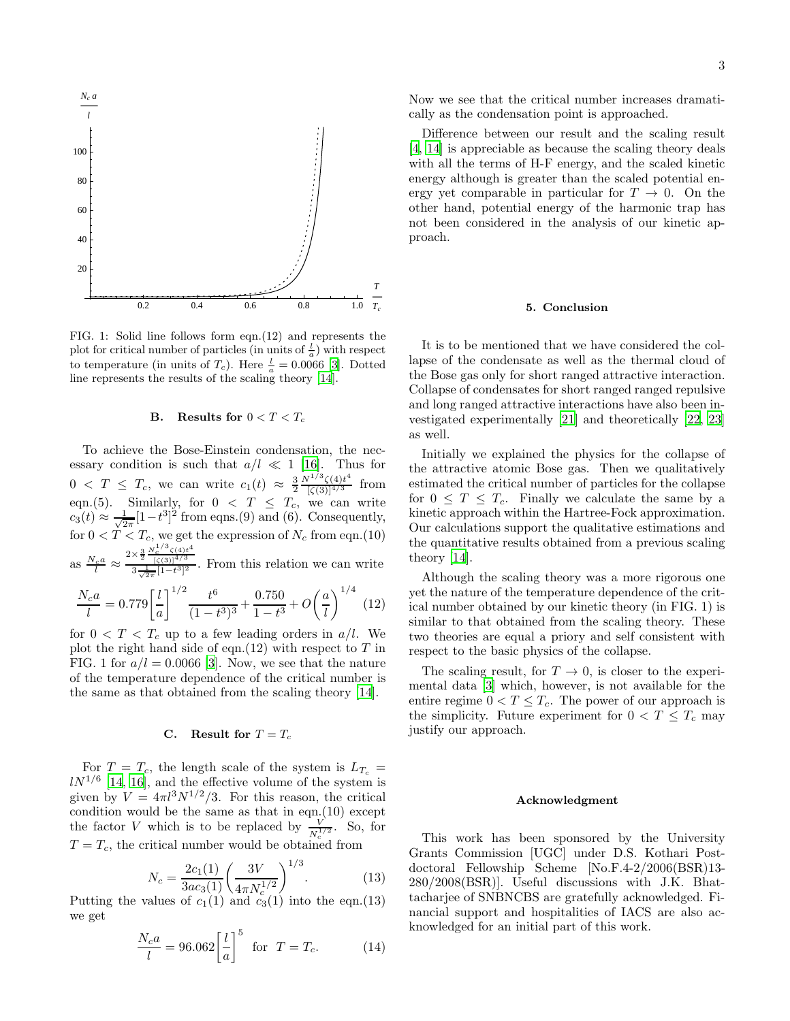

FIG. 1: Solid line follows form eqn.(12) and represents the plot for critical number of particles (in units of  $\frac{l}{a}$ ) with respect to temperature (in units of  $T_c$ ). Here  $\frac{l}{a} = 0.0066$  [\[3\]](#page-3-2). Dotted line represents the results of the scaling theory [\[14](#page-3-6)].

## B. Results for  $0 < T < T_c$

To achieve the Bose-Einstein condensation, the necessary condition is such that  $a/l \ll 1$  [\[16\]](#page-3-8). Thus for  $0 \leq T \leq T_c$ , we can write  $c_1(t) \approx \frac{3}{2}$  $N^{1/3}\zeta(4)t^4$  $\frac{\zeta(4)t}{[\zeta(3)]^{4/3}}$  from eqn.(5). Similarly, for  $0 < T \leq T_c$ , we can write  $c_3(t) \approx \frac{1}{\sqrt{2}}$  $\frac{1}{2\pi}[1-t^3]^2$  from eqns.(9) and (6). Consequently, for  $0 < T < T_c$ , we get the expression of  $N_c$  from eqn.(10)  $2\times\frac{3}{2}\frac{N_c^{1/3}\zeta(4)t^4}{\left[\zeta(3)\right]^{4/3}}$ 

as  $\frac{N_c a}{l} \approx$  $\frac{\gamma_2}{3\frac{1}{\sqrt{2\pi}}[1-t^3]^2}$ . From this relation we can write

$$
\frac{N_c a}{l} = 0.779 \left[ \frac{l}{a} \right]^{1/2} \frac{t^6}{(1 - t^3)^3} + \frac{0.750}{1 - t^3} + O\left(\frac{a}{l}\right)^{1/4} \tag{12}
$$

for  $0 < T < T_c$  up to a few leading orders in  $a/l$ . We plot the right hand side of eqn.(12) with respect to  $T$  in FIG. 1 for  $a/l = 0.0066$  [\[3\]](#page-3-2). Now, we see that the nature of the temperature dependence of the critical number is the same as that obtained from the scaling theory [\[14](#page-3-6)].

# C. Result for  $T = T_c$

For  $T = T_c$ , the length scale of the system is  $L_{T_c}$  =  $lN^{1/6}$  [\[14](#page-3-6), [16](#page-3-8)], and the effective volume of the system is given by  $V = 4\pi l^3 N^{1/2}/3$ . For this reason, the critical condition would be the same as that in eqn.(10) except the factor V which is to be replaced by  $\frac{V}{N_c^{1/2}}$ . So, for  $T = T_c$ , the critical number would be obtained from

$$
N_c = \frac{2c_1(1)}{3ac_3(1)} \left(\frac{3V}{4\pi N_c^{1/2}}\right)^{1/3}.
$$
 (13)

Putting the values of  $c_1(1)$  and  $c_3(1)$  into the eqn.(13) we get

$$
\frac{N_c a}{l} = 96.062 \left[ \frac{l}{a} \right]^5 \quad \text{for} \quad T = T_c. \tag{14}
$$

Now we see that the critical number increases dramatically as the condensation point is approached.

Difference between our result and the scaling result [\[4,](#page-3-3) [14\]](#page-3-6) is appreciable as because the scaling theory deals with all the terms of H-F energy, and the scaled kinetic energy although is greater than the scaled potential energy yet comparable in particular for  $T \to 0$ . On the other hand, potential energy of the harmonic trap has not been considered in the analysis of our kinetic approach.

## 5. Conclusion

It is to be mentioned that we have considered the collapse of the condensate as well as the thermal cloud of the Bose gas only for short ranged attractive interaction. Collapse of condensates for short ranged ranged repulsive and long ranged attractive interactions have also been investigated experimentally [\[21\]](#page-3-12) and theoretically [\[22,](#page-3-13) [23](#page-3-14)] as well.

Initially we explained the physics for the collapse of the attractive atomic Bose gas. Then we qualitatively estimated the critical number of particles for the collapse for  $0 \leq T \leq T_c$ . Finally we calculate the same by a kinetic approach within the Hartree-Fock approximation. Our calculations support the qualitative estimations and the quantitative results obtained from a previous scaling theory [\[14](#page-3-6)].

Although the scaling theory was a more rigorous one yet the nature of the temperature dependence of the critical number obtained by our kinetic theory (in FIG. 1) is similar to that obtained from the scaling theory. These two theories are equal a priory and self consistent with respect to the basic physics of the collapse.

The scaling result, for  $T \to 0$ , is closer to the experimental data [\[3\]](#page-3-2) which, however, is not available for the entire regime  $0 < T \leq T_c$ . The power of our approach is the simplicity. Future experiment for  $0 < T \leq T_c$  may justify our approach.

#### Acknowledgment

This work has been sponsored by the University Grants Commission [UGC] under D.S. Kothari Postdoctoral Fellowship Scheme [No.F.4-2/2006(BSR)13- 280/2008(BSR)]. Useful discussions with J.K. Bhattacharjee of SNBNCBS are gratefully acknowledged. Financial support and hospitalities of IACS are also acknowledged for an initial part of this work.